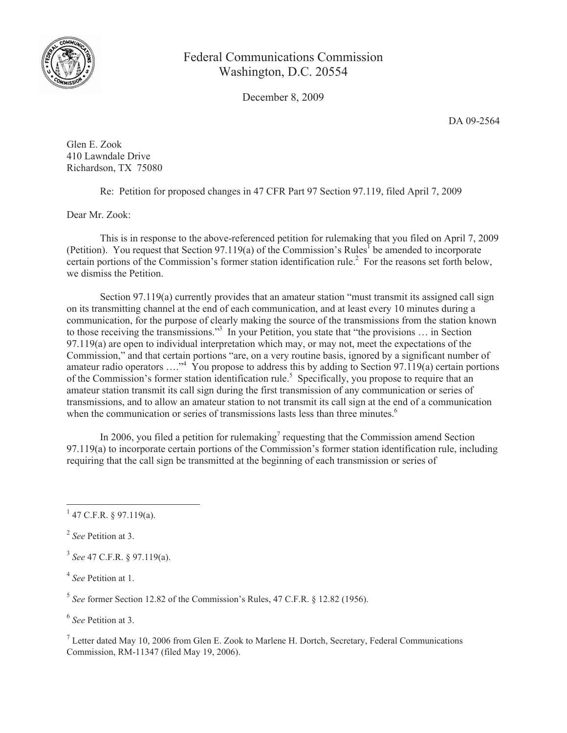

## Federal Communications Commission Washington, D.C. 20554

December 8, 2009

DA 09-2564

Glen E. Zook 410 Lawndale Drive Richardson, TX 75080

Re: Petition for proposed changes in 47 CFR Part 97 Section 97.119, filed April 7, 2009

Dear Mr. Zook:

This is in response to the above-referenced petition for rulemaking that you filed on April 7, 2009 (Petition). You request that Section 97.119(a) of the Commission's Rules<sup>1</sup> be amended to incorporate certain portions of the Commission's former station identification rule.<sup>2</sup> For the reasons set forth below, we dismiss the Petition.

Section 97.119(a) currently provides that an amateur station "must transmit its assigned call sign on its transmitting channel at the end of each communication, and at least every 10 minutes during a communication, for the purpose of clearly making the source of the transmissions from the station known to those receiving the transmissions."<sup>3</sup> In your Petition, you state that "the provisions ... in Section 97.119(a) are open to individual interpretation which may, or may not, meet the expectations of the Commission," and that certain portions "are, on a very routine basis, ignored by a significant number of amateur radio operators  $\ldots$ <sup>34</sup> You propose to address this by adding to Section 97.119(a) certain portions of the Commission's former station identification rule.<sup>5</sup> Specifically, you propose to require that an amateur station transmit its call sign during the first transmission of any communication or series of transmissions, and to allow an amateur station to not transmit its call sign at the end of a communication when the communication or series of transmissions lasts less than three minutes.<sup>6</sup>

In 2006, you filed a petition for rulemaking<sup>7</sup> requesting that the Commission amend Section 97.119(a) to incorporate certain portions of the Commission's former station identification rule, including requiring that the call sign be transmitted at the beginning of each transmission or series of

3 *See* 47 C.F.R. § 97.119(a).

4 *See* Petition at 1.

5 *See* former Section 12.82 of the Commission's Rules, 47 C.F.R. § 12.82 (1956).

6 *See* Petition at 3.

 $<sup>7</sup>$  Letter dated May 10, 2006 from Glen E. Zook to Marlene H. Dortch, Secretary, Federal Communications</sup> Commission, RM-11347 (filed May 19, 2006).

 $1$  47 C.F.R. § 97.119(a).

<sup>2</sup> *See* Petition at 3.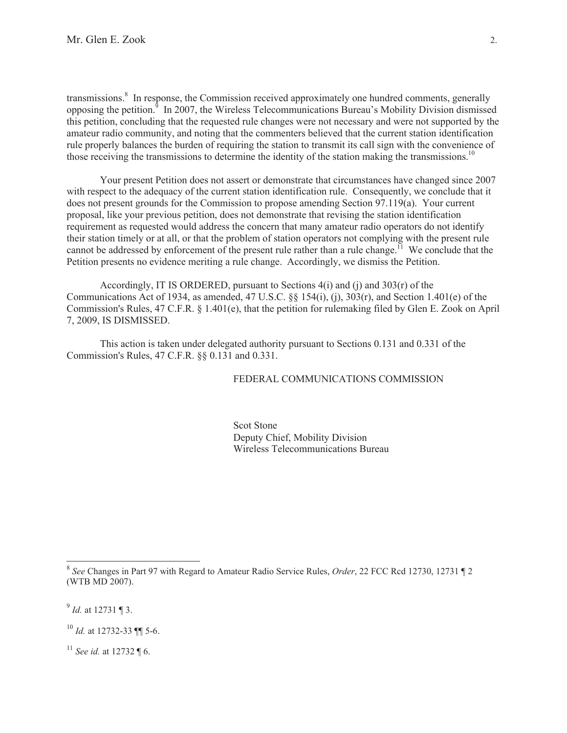transmissions.<sup>8</sup> In response, the Commission received approximately one hundred comments, generally opposing the petition.<sup>9</sup> In 2007, the Wireless Telecommunications Bureau's Mobility Division dismissed this petition, concluding that the requested rule changes were not necessary and were not supported by the amateur radio community, and noting that the commenters believed that the current station identification rule properly balances the burden of requiring the station to transmit its call sign with the convenience of those receiving the transmissions to determine the identity of the station making the transmissions.<sup>10</sup>

Your present Petition does not assert or demonstrate that circumstances have changed since 2007 with respect to the adequacy of the current station identification rule. Consequently, we conclude that it does not present grounds for the Commission to propose amending Section 97.119(a). Your current proposal, like your previous petition, does not demonstrate that revising the station identification requirement as requested would address the concern that many amateur radio operators do not identify their station timely or at all, or that the problem of station operators not complying with the present rule cannot be addressed by enforcement of the present rule rather than a rule change.<sup>11</sup> We conclude that the Petition presents no evidence meriting a rule change. Accordingly, we dismiss the Petition.

Accordingly, IT IS ORDERED, pursuant to Sections  $4(i)$  and  $(i)$  and  $303(r)$  of the Communications Act of 1934, as amended, 47 U.S.C. §§ 154(i), (j), 303(r), and Section 1.401(e) of the Commission's Rules, 47 C.F.R. § 1.401(e), that the petition for rulemaking filed by Glen E. Zook on April 7, 2009, IS DISMISSED.

This action is taken under delegated authority pursuant to Sections 0.131 and 0.331 of the Commission's Rules, 47 C.F.R. §§ 0.131 and 0.331.

FEDERAL COMMUNICATIONS COMMISSION

Scot Stone Deputy Chief, Mobility Division Wireless Telecommunications Bureau

9 *Id.* at 12731 ¶ 3.

<sup>11</sup> *See id.* at 12732 ¶ 6.

<sup>8</sup> *See* Changes in Part 97 with Regard to Amateur Radio Service Rules, *Order*, 22 FCC Rcd 12730, 12731 ¶ 2 (WTB MD 2007).

<sup>10</sup> *Id.* at 12732-33 ¶¶ 5-6.